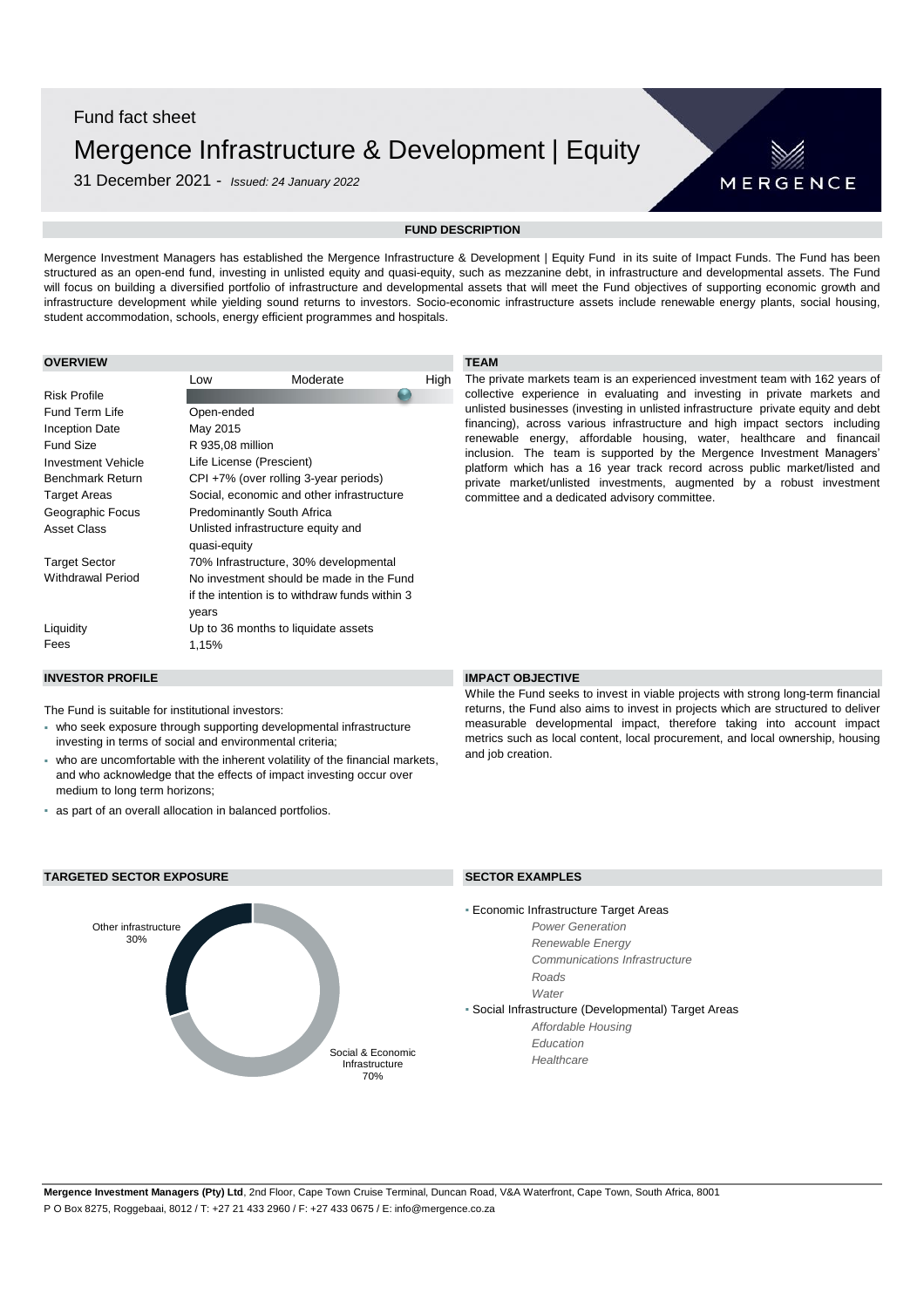# Fund fact sheet Mergence Infrastructure & Development | Equity

31 December 2021 - *Issued: 24 January 2022*



# **FUND DESCRIPTION**

Mergence Investment Managers has established the Mergence Infrastructure & Development | Equity Fund in its suite of Impact Funds. The Fund has been structured as an open-end fund, investing in unlisted equity and quasi-equity, such as mezzanine debt, in infrastructure and developmental assets. The Fund will focus on building a diversified portfolio of infrastructure and developmental assets that will meet the Fund objectives of supporting economic growth and infrastructure development while yielding sound returns to investors. Socio-economic infrastructure assets include renewable energy plants, social housing, student accommodation, schools, energy efficient programmes and hospitals.

## **OVERVIEW TEAM**

| Low                                       | Moderate | High                                                                                                                                                                       |  |
|-------------------------------------------|----------|----------------------------------------------------------------------------------------------------------------------------------------------------------------------------|--|
|                                           |          |                                                                                                                                                                            |  |
| Open-ended                                |          |                                                                                                                                                                            |  |
| May 2015                                  |          |                                                                                                                                                                            |  |
| R 935,08 million                          |          |                                                                                                                                                                            |  |
| Life License (Prescient)                  |          |                                                                                                                                                                            |  |
| CPI +7% (over rolling 3-year periods)     |          |                                                                                                                                                                            |  |
| Social, economic and other infrastructure |          |                                                                                                                                                                            |  |
| <b>Predominantly South Africa</b>         |          |                                                                                                                                                                            |  |
| Unlisted infrastructure equity and        |          |                                                                                                                                                                            |  |
| quasi-equity                              |          |                                                                                                                                                                            |  |
|                                           |          |                                                                                                                                                                            |  |
|                                           |          |                                                                                                                                                                            |  |
|                                           |          |                                                                                                                                                                            |  |
| years                                     |          |                                                                                                                                                                            |  |
|                                           |          |                                                                                                                                                                            |  |
| 1,15%                                     |          |                                                                                                                                                                            |  |
|                                           |          | 70% Infrastructure, 30% developmental<br>No investment should be made in the Fund<br>if the intention is to withdraw funds within 3<br>Up to 36 months to liquidate assets |  |

The private markets team is an experienced investment team with 162 years of collective experience in evaluating and investing in private markets and unlisted businesses (investing in unlisted infrastructure private equity and debt financing), across various infrastructure and high impact sectors including renewable energy, affordable housing, water, healthcare and financail inclusion. The team is supported by the Mergence Investment Managers' platform which has a 16 year track record across public market/listed and private market/unlisted investments, augmented by a robust investment committee and a dedicated advisory committee.

# **INVESTOR PROFILE IMPACT OBJECTIVE**

The Fund is suitable for institutional investors:

- who seek exposure through supporting developmental infrastructure investing in terms of social and environmental criteria;
- who are uncomfortable with the inherent volatility of the financial markets, and who acknowledge that the effects of impact investing occur over medium to long term horizons;
- as part of an overall allocation in balanced portfolios.

While the Fund seeks to invest in viable projects with strong long-term financial returns, the Fund also aims to invest in projects which are structured to deliver measurable developmental impact, therefore taking into account impact metrics such as local content, local procurement, and local ownership, housing and job creation.



## **TARGETED SECTOR EXPOSURE SECTOR EXAMPLES**

**Economic Infrastructure Target Areas** 

*Power Generation Renewable Energy Communications Infrastructure Roads*

*Water*

▪ Social Infrastructure (Developmental) Target Areas

*Affordable Housing Education*

*Healthcare*

**Mergence Investment Managers (Pty) Ltd**, 2nd Floor, Cape Town Cruise Terminal, Duncan Road, V&A Waterfront, Cape Town, South Africa, 8001 P O Box 8275, Roggebaai, 8012 / T: +27 21 433 2960 / F: +27 433 0675 / E: info@mergence.co.za